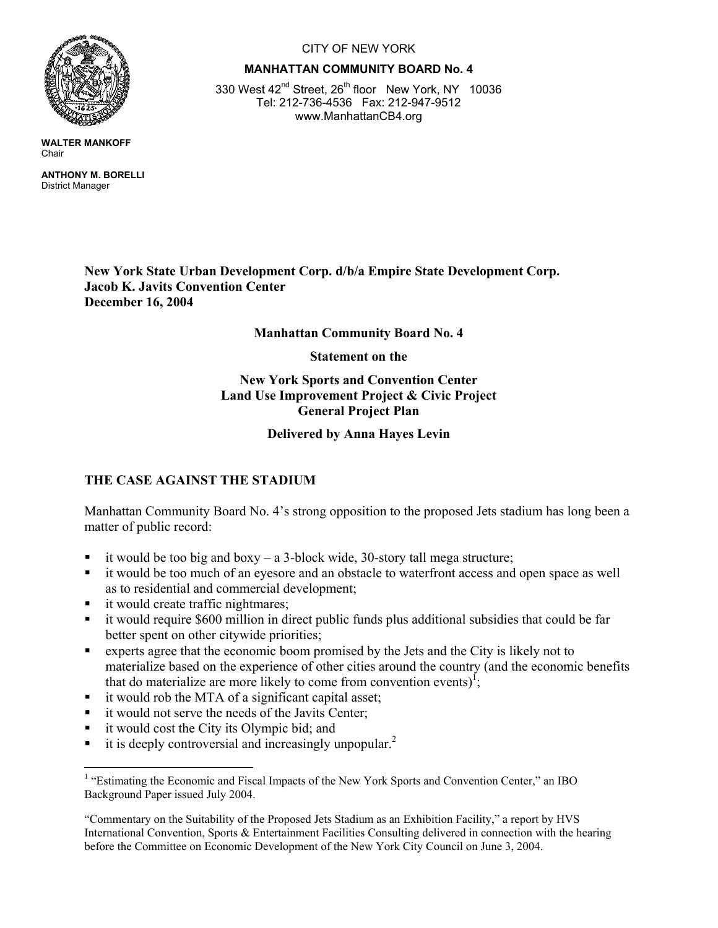

**WALTER MANKOFF**  Chair

**ANTHONY M. BORELLI**  District Manager

CITY OF NEW YORK

#### **MANHATTAN COMMUNITY BOARD No. 4**

330 West 42<sup>nd</sup> Street, 26<sup>th</sup> floor New York, NY 10036 Tel: 212-736-4536 Fax: 212-947-9512 www.ManhattanCB4.org

**New York State Urban Development Corp. d/b/a Empire State Development Corp. Jacob K. Javits Convention Center December 16, 2004** 

### **Manhattan Community Board No. 4**

### **Statement on the**

### **New York Sports and Convention Center Land Use Improvement Project & Civic Project General Project Plan**

### **Delivered by Anna Hayes Levin**

## **THE CASE AGAINST THE STADIUM**

Manhattan Community Board No. 4's strong opposition to the proposed Jets stadium has long been a matter of public record:

- it would be too big and boxy a 3-block wide, 30-story tall mega structure;
- it would be too much of an eyesore and an obstacle to waterfront access and open space as well as to residential and commercial development;
- it would create traffic nightmares;
- it would require \$600 million in direct public funds plus additional subsidies that could be far better spent on other citywide priorities;
- experts agree that the economic boom promised by the Jets and the City is likely not to materialize based on the experience of other cities around the country (and the economic benefits that do materialize are more likely to come from convention events)<sup>1</sup>;
- it would rob the MTA of a significant capital asset;
- it would not serve the needs of the Javits Center;
- **i** it would cost the City its Olympic bid; and
- $\blacksquare$  it is deeply controversial and increasingly unpopular.<sup>2</sup>

 1 "Estimating the Economic and Fiscal Impacts of the New York Sports and Convention Center," an IBO Background Paper issued July 2004.

<sup>&</sup>quot;Commentary on the Suitability of the Proposed Jets Stadium as an Exhibition Facility," a report by HVS International Convention, Sports & Entertainment Facilities Consulting delivered in connection with the hearing before the Committee on Economic Development of the New York City Council on June 3, 2004.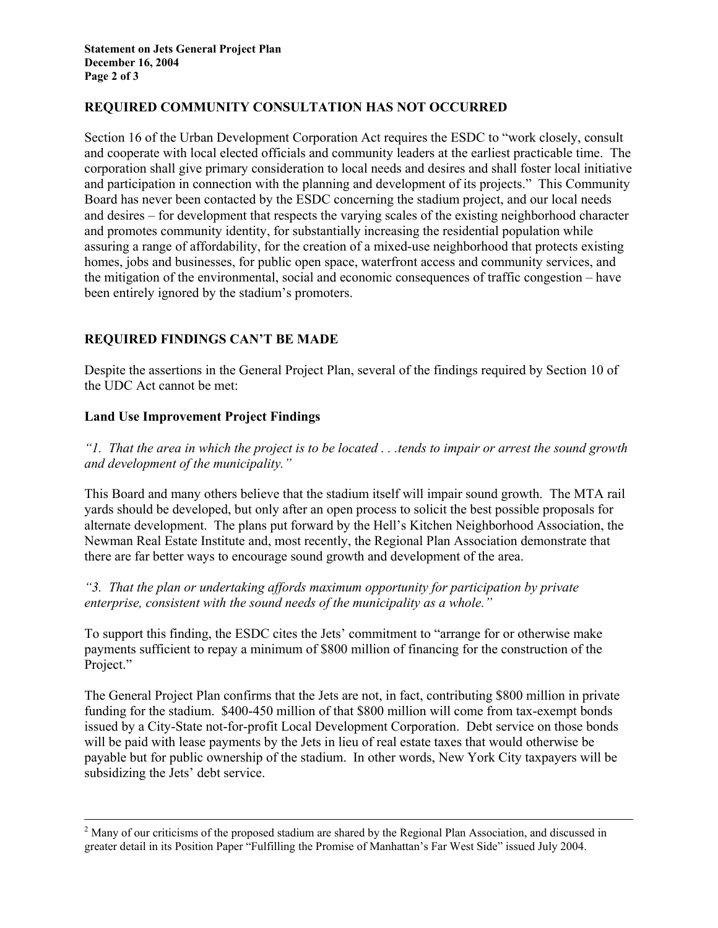# **REQUIRED COMMUNITY CONSULTATION HAS NOT OCCURRED**

Section 16 of the Urban Development Corporation Act requires the ESDC to "work closely, consult and cooperate with local elected officials and community leaders at the earliest practicable time. The corporation shall give primary consideration to local needs and desires and shall foster local initiative and participation in connection with the planning and development of its projects." This Community Board has never been contacted by the ESDC concerning the stadium project, and our local needs and desires – for development that respects the varying scales of the existing neighborhood character and promotes community identity, for substantially increasing the residential population while assuring a range of affordability, for the creation of a mixed-use neighborhood that protects existing homes, jobs and businesses, for public open space, waterfront access and community services, and the mitigation of the environmental, social and economic consequences of traffic congestion – have been entirely ignored by the stadium's promoters.

## **REQUIRED FINDINGS CAN'T BE MADE**

Despite the assertions in the General Project Plan, several of the findings required by Section 10 of the UDC Act cannot be met:

### **Land Use Improvement Project Findings**

*"1. That the area in which the project is to be located . . .tends to impair or arrest the sound growth and development of the municipality."* 

This Board and many others believe that the stadium itself will impair sound growth. The MTA rail yards should be developed, but only after an open process to solicit the best possible proposals for alternate development. The plans put forward by the Hell's Kitchen Neighborhood Association, the Newman Real Estate Institute and, most recently, the Regional Plan Association demonstrate that there are far better ways to encourage sound growth and development of the area.

*"3. That the plan or undertaking affords maximum opportunity for participation by private enterprise, consistent with the sound needs of the municipality as a whole."* 

To support this finding, the ESDC cites the Jets' commitment to "arrange for or otherwise make payments sufficient to repay a minimum of \$800 million of financing for the construction of the Project."

The General Project Plan confirms that the Jets are not, in fact, contributing \$800 million in private funding for the stadium. \$400-450 million of that \$800 million will come from tax-exempt bonds issued by a City-State not-for-profit Local Development Corporation. Debt service on those bonds will be paid with lease payments by the Jets in lieu of real estate taxes that would otherwise be payable but for public ownership of the stadium. In other words, New York City taxpayers will be subsidizing the Jets' debt service.

 $\frac{1}{2}$ <sup>2</sup> Many of our criticisms of the proposed stadium are shared by the Regional Plan Association, and discussed in greater detail in its Position Paper "Fulfilling the Promise of Manhattan's Far West Side" issued July 2004.